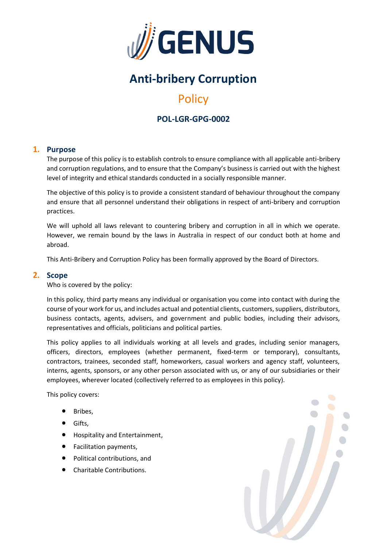

# **Anti-bribery Corruption**

# **Policy**

# **POL-LGR-GPG-0002**

## **1. Purpose**

The purpose of this policy is to establish controls to ensure compliance with all applicable anti-bribery and corruption regulations, and to ensure that the Company's business is carried out with the highest level of integrity and ethical standards conducted in a socially responsible manner.

The objective of this policy is to provide a consistent standard of behaviour throughout the company and ensure that all personnel understand their obligations in respect of anti-bribery and corruption practices.

We will uphold all laws relevant to countering bribery and corruption in all in which we operate. However, we remain bound by the laws in Australia in respect of our conduct both at home and abroad.

This Anti-Bribery and Corruption Policy has been formally approved by the Board of Directors.

### **2. Scope**

Who is covered by the policy:

In this policy, third party means any individual or organisation you come into contact with during the course of your work for us, and includes actual and potential clients, customers, suppliers, distributors, business contacts, agents, advisers, and government and public bodies, including their advisors, representatives and officials, politicians and political parties.

This policy applies to all individuals working at all levels and grades, including senior managers, officers, directors, employees (whether permanent, fixed-term or temporary), consultants, contractors, trainees, seconded staff, homeworkers, casual workers and agency staff, volunteers, interns, agents, sponsors, or any other person associated with us, or any of our subsidiaries or their employees, wherever located (collectively referred to as employees in this policy).

This policy covers:

- Bribes.
- Gifts,
- Hospitality and Entertainment,
- Facilitation payments,
- Political contributions, and
- Charitable Contributions.

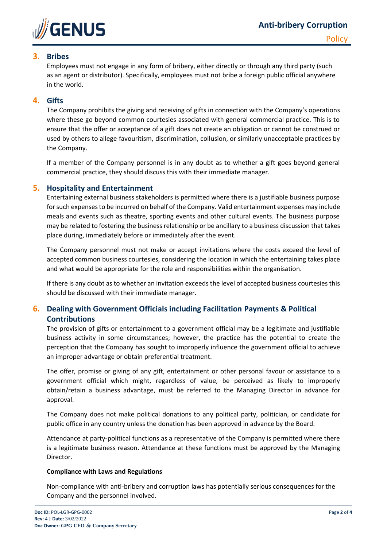

## **3. Bribes**

Employees must not engage in any form of bribery, either directly or through any third party (such as an agent or distributor). Specifically, employees must not bribe a foreign public official anywhere in the world.

## **4. Gifts**

The Company prohibits the giving and receiving of gifts in connection with the Company's operations where these go beyond common courtesies associated with general commercial practice. This is to ensure that the offer or acceptance of a gift does not create an obligation or cannot be construed or used by others to allege favouritism, discrimination, collusion, or similarly unacceptable practices by the Company.

If a member of the Company personnel is in any doubt as to whether a gift goes beyond general commercial practice, they should discuss this with their immediate manager.

### **5. Hospitality and Entertainment**

Entertaining external business stakeholders is permitted where there is a justifiable business purpose for such expenses to be incurred on behalf of the Company. Valid entertainment expenses may include meals and events such as theatre, sporting events and other cultural events. The business purpose may be related to fostering the business relationship or be ancillary to a business discussion that takes place during, immediately before or immediately after the event.

The Company personnel must not make or accept invitations where the costs exceed the level of accepted common business courtesies, considering the location in which the entertaining takes place and what would be appropriate for the role and responsibilities within the organisation.

If there is any doubt as to whether an invitation exceeds the level of accepted business courtesies this should be discussed with their immediate manager.

## **6. Dealing with Government Officials including Facilitation Payments & Political Contributions**

The provision of gifts or entertainment to a government official may be a legitimate and justifiable business activity in some circumstances; however, the practice has the potential to create the perception that the Company has sought to improperly influence the government official to achieve an improper advantage or obtain preferential treatment.

The offer, promise or giving of any gift, entertainment or other personal favour or assistance to a government official which might, regardless of value, be perceived as likely to improperly obtain/retain a business advantage, must be referred to the Managing Director in advance for approval.

The Company does not make political donations to any political party, politician, or candidate for public office in any country unless the donation has been approved in advance by the Board.

Attendance at party-political functions as a representative of the Company is permitted where there is a legitimate business reason. Attendance at these functions must be approved by the Managing Director.

#### **Compliance with Laws and Regulations**

Non-compliance with anti-bribery and corruption laws has potentially serious consequences for the Company and the personnel involved.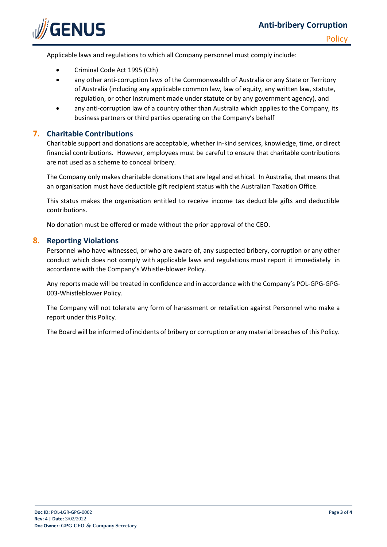

- Criminal Code Act 1995 (Cth)
- any other anti-corruption laws of the Commonwealth of Australia or any State or Territory of Australia (including any applicable common law, law of equity, any written law, statute, regulation, or other instrument made under statute or by any government agency), and
- any anti-corruption law of a country other than Australia which applies to the Company, its business partners or third parties operating on the Company's behalf

## **7. Charitable Contributions**

Charitable support and donations are acceptable, whether in-kind services, knowledge, time, or direct financial contributions. However, employees must be careful to ensure that charitable contributions are not used as a scheme to conceal bribery.

The Company only makes charitable donations that are legal and ethical. In Australia, that means that an organisation must have deductible gift recipient status with the Australian Taxation Office.

This status makes the organisation entitled to receive income tax deductible gifts and deductible contributions.

No donation must be offered or made without the prior approval of the CEO.

#### **8. Reporting Violations**

Personnel who have witnessed, or who are aware of, any suspected bribery, corruption or any other conduct which does not comply with applicable laws and regulations must report it immediately in accordance with the Company's Whistle-blower Policy.

Any reports made will be treated in confidence and in accordance with the Company's POL-GPG-GPG-003-Whistleblower Policy.

The Company will not tolerate any form of harassment or retaliation against Personnel who make a report under this Policy.

The Board will be informed of incidents of bribery or corruption or any material breaches of this Policy.